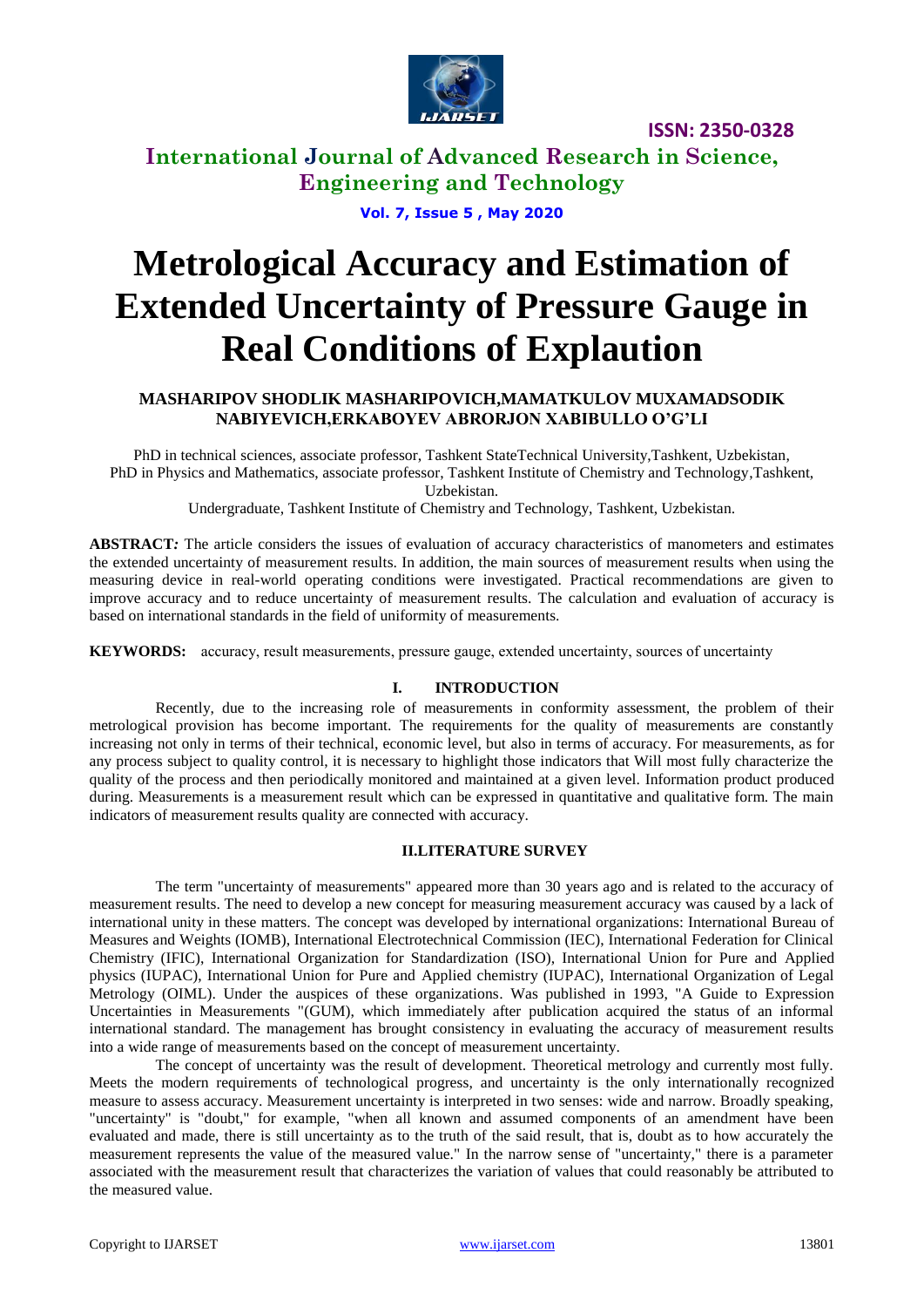

# **International Journal of Advanced Research in Science, Engineering and Technology**

**Vol. 7, Issue 5 , May 2020**

# **Metrological Accuracy and Estimation of Extended Uncertainty of Pressure Gauge in Real Conditions of Explaution**

### **MASHARIPOV SHODLIK MASHARIPOVICH,MAMATKULOV MUXAMADSODIK NABIYEVICH,ERKABOYEV ABRORJON XABIBULLO O'G'LI**

PhD in technical sciences, associate professor, Tashkent StateTechnical University,Tashkent, Uzbekistan, PhD in Physics and Mathematics, associate professor, Tashkent Institute of Chemistry and Technology,Tashkent, Uzbekistan.

Undergraduate, Tashkent Institute of Chemistry and Technology, Tashkent, Uzbekistan.

**ABSTRACT***:* The article considers the issues of evaluation of accuracy characteristics of manometers and estimates the extended uncertainty of measurement results. In addition, the main sources of measurement results when using the measuring device in real-world operating conditions were investigated. Practical recommendations are given to improve accuracy and to reduce uncertainty of measurement results. The calculation and evaluation of accuracy is based on international standards in the field of uniformity of measurements.

**KEYWORDS:** аccuracy, result measurements, pressure gauge, extended uncertainty, sources of uncertainty

### **I. INTRODUCTION**

Recently, due to the increasing role of measurements in conformity assessment, the problem of their metrological provision has become important. The requirements for the quality of measurements are constantly increasing not only in terms of their technical, economic level, but also in terms of accuracy. For measurements, as for any process subject to quality control, it is necessary to highlight those indicators that Will most fully characterize the quality of the process and then periodically monitored and maintained at a given level. Information product produced during. Measurements is a measurement result which can be expressed in quantitative and qualitative form. The main indicators of measurement results quality are connected with accuracy.

### **II.LITERATURE SURVEY**

The term "uncertainty of measurements" appeared more than 30 years ago and is related to the accuracy of measurement results. The need to develop a new concept for measuring measurement accuracy was caused by a lack of international unity in these matters. The concept was developed by international organizations: International Bureau of Measures and Weights (IOMB), International Electrotechnical Commission (IEC), International Federation for Clinical Chemistry (IFIC), International Organization for Standardization (ISO), International Union for Pure and Applied physics (IUPAC), International Union for Pure and Applied chemistry (IUPAC), International Organization of Legal Metrology (OIML). Under the auspices of these organizations. Was published in 1993, "A Guide to Expression Uncertainties in Measurements "(GUM), which immediately after publication acquired the status of an informal international standard. The management has brought consistency in evaluating the accuracy of measurement results into a wide range of measurements based on the concept of measurement uncertainty.

The concept of uncertainty was the result of development. Theoretical metrology and currently most fully. Meets the modern requirements of technological progress, and uncertainty is the only internationally recognized measure to assess accuracy. Measurement uncertainty is interpreted in two senses: wide and narrow. Broadly speaking, "uncertainty" is "doubt," for example, "when all known and assumed components of an amendment have been evaluated and made, there is still uncertainty as to the truth of the said result, that is, doubt as to how accurately the measurement represents the value of the measured value." In the narrow sense of "uncertainty," there is a parameter associated with the measurement result that characterizes the variation of values that could reasonably be attributed to the measured value.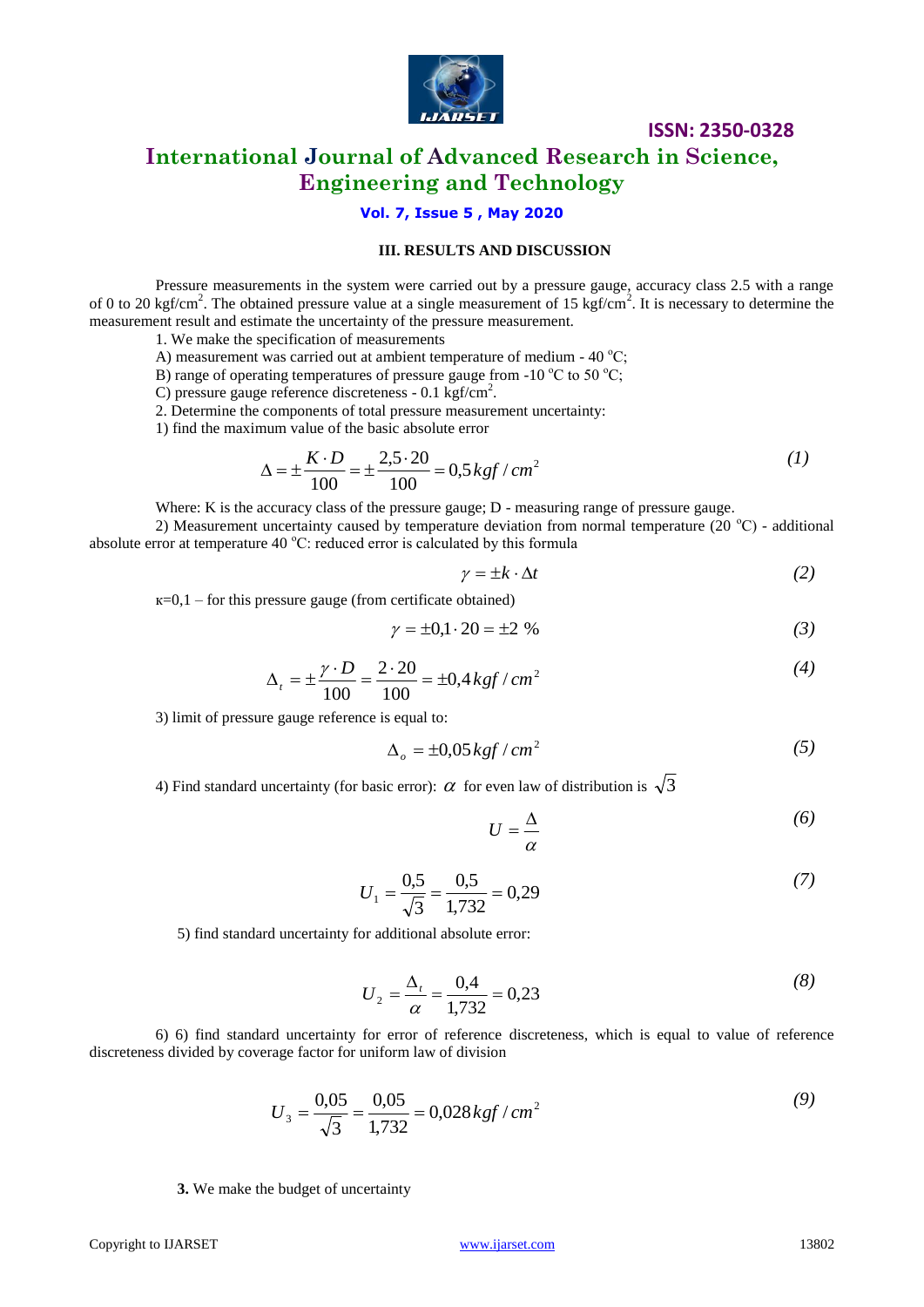

## **International Journal of Advanced Research in Science, Engineering and Technology**

### **Vol. 7, Issue 5 , May 2020**

### **III. RESULTS AND DISCUSSION**

Pressure measurements in the system were carried out by a pressure gauge, accuracy class 2.5 with a range of 0 to 20 kgf/cm<sup>2</sup>. The obtained pressure value at a single measurement of 15 kgf/cm<sup>2</sup>. It is necessary to determine the measurement result and estimate the uncertainty of the pressure measurement.

1. We make the specification of measurements

A) measurement was carried out at ambient temperature of medium -  $40^{\circ}$ C;

B) range of operating temperatures of pressure gauge from -10  $^{\circ}$ C to 50  $^{\circ}$ C;

C) pressure gauge reference discreteness - 0.1 kgf/cm<sup>2</sup>.

2. Determine the components of total pressure measurement uncertainty:

1) find the maximum value of the basic absolute error

$$
\Delta = \pm \frac{K \cdot D}{100} = \pm \frac{2,5 \cdot 20}{100} = 0,5 \, kgf / \, cm^2 \tag{1}
$$

Where: K is the accuracy class of the pressure gauge; D - measuring range of pressure gauge.

2) Measurement uncertainty caused by temperature deviation from normal temperature (20  $^{\circ}$ C) - additional absolute error at temperature 40  $^{\circ}$ C: reduced error is calculated by this formula

$$
\gamma = \pm k \cdot \Delta t \tag{2}
$$

 $k=0,1$  – for this pressure gauge (from certificate obtained)

$$
\gamma = \pm 0.1 \cdot 20 = \pm 2 \%
$$
 (3)

$$
\Delta_t = \pm \frac{\gamma \cdot D}{100} = \frac{2 \cdot 20}{100} = \pm 0.4 \, kgf / \, cm^2 \tag{4}
$$

3) limit of pressure gauge reference is equal to:

$$
\Delta_o = \pm 0.05 \, kgf/cm^2 \tag{5}
$$

4) Find standard uncertainty (for basic error):  $\alpha$  for even law of distribution is  $\sqrt{3}$ 

$$
U = \frac{\Delta}{\alpha} \tag{6}
$$

$$
U_1 = \frac{0.5}{\sqrt{3}} = \frac{0.5}{1.732} = 0.29\tag{7}
$$

5) find standard uncertainty for additional absolute error:

$$
U_2 = \frac{\Delta_t}{\alpha} = \frac{0.4}{1.732} = 0.23\tag{8}
$$

6) 6) find standard uncertainty for error of reference discreteness, which is equal to value of reference discreteness divided by coverage factor for uniform law of division

$$
U_3 = \frac{0.05}{\sqrt{3}} = \frac{0.05}{1.732} = 0.028 \, \text{kgf} / \text{cm}^2 \tag{9}
$$

**3.** We make the budget of uncertainty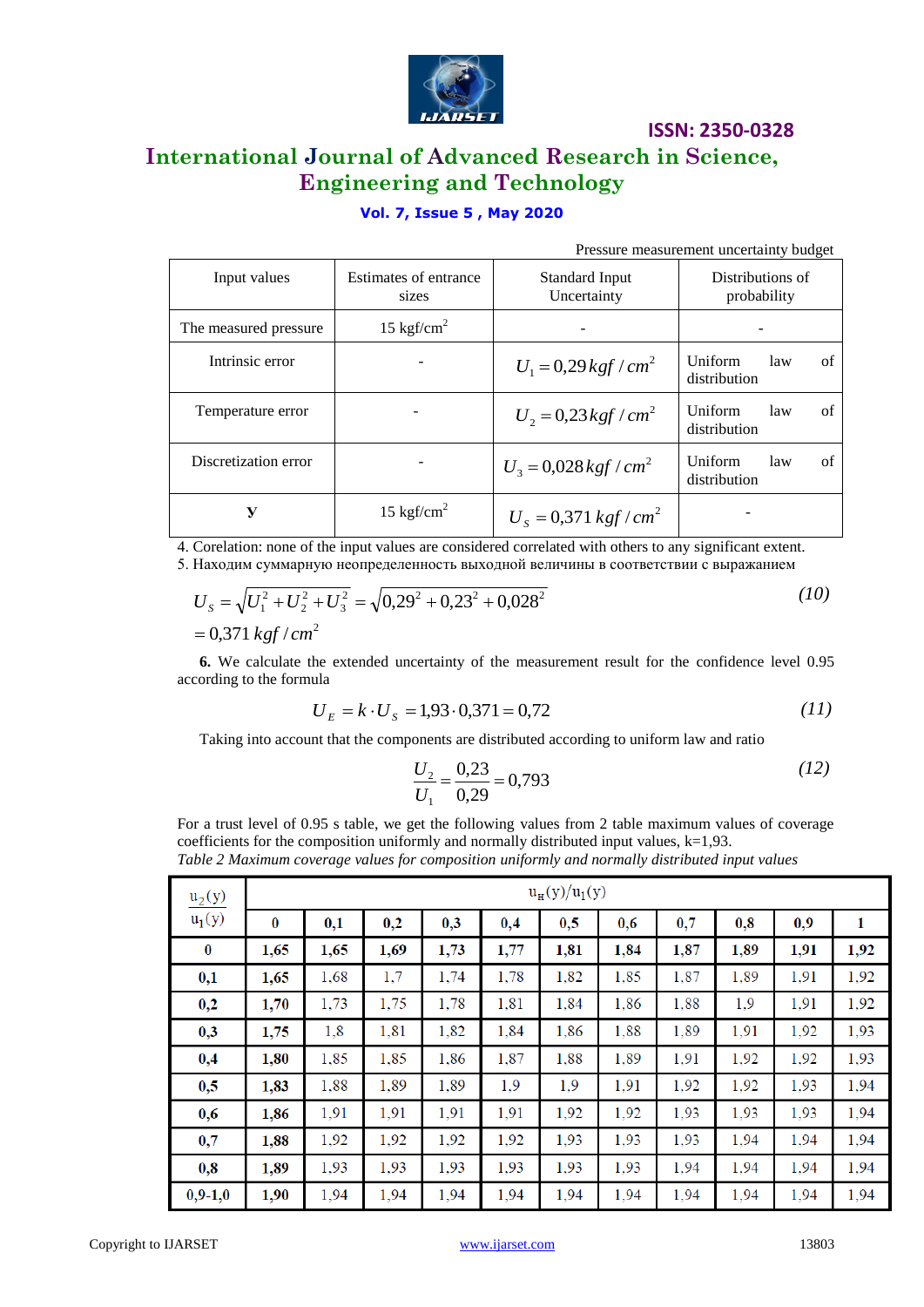

# **International Journal of Advanced Research in Science, Engineering and Technology**

### **Vol. 7, Issue 5 , May 2020**

Pressure measurement uncertainty budget

| Input values          | Estimates of entrance<br>sizes | Standard Input<br>Uncertainty       | Distributions of<br>probability             |  |  |
|-----------------------|--------------------------------|-------------------------------------|---------------------------------------------|--|--|
| The measured pressure | 15 kgf/cm <sup>2</sup>         |                                     |                                             |  |  |
| Intrinsic error       |                                | $U_1 = 0.29$ kgf / cm <sup>2</sup>  | <b>Uniform</b><br>of<br>law<br>distribution |  |  |
| Temperature error     |                                | $U_2 = 0.23$ kgf / cm <sup>2</sup>  | <b>Uniform</b><br>of<br>law<br>distribution |  |  |
| Discretization error  |                                | $U_3 = 0.028$ kgf / cm <sup>2</sup> | Uniform<br>of<br>law<br>distribution        |  |  |
| У                     | 15 kgf/cm <sup>2</sup>         | $U_s = 0.371$ kgf / cm <sup>2</sup> |                                             |  |  |

4. Corelation: none of the input values are considered correlated with others to any significant extent.

5. Находим суммарную неопределенность выходной величины в соответствии с выражанием

$$
U_s = \sqrt{U_1^2 + U_2^2 + U_3^2} = \sqrt{0.29^2 + 0.23^2 + 0.028^2}
$$
\n
$$
= 0.371 \, kgf/cm^2
$$
\n(10)

**6.** We calculate the extended uncertainty of the measurement result for the confidence level 0.95 according to the formula

$$
U_E = k \cdot U_S = 1,93 \cdot 0,371 = 0,72 \tag{11}
$$

Taking into account that the components are distributed according to uniform law and ratio

$$
\frac{U_2}{U_1} = \frac{0.23}{0.29} = 0.793\tag{12}
$$

For a trust level of 0.95 s table, we get the following values from 2 table maximum values of coverage coefficients for the composition uniformly and normally distributed input values,  $k=1,93$ . *Table 2 Maximum coverage values for composition uniformly and normally distributed input values*

| $u_2(y)$  | $u_{H}(y)/u_{1}(y)$ |      |      |      |      |      |      |      |      |      |      |
|-----------|---------------------|------|------|------|------|------|------|------|------|------|------|
| $u_1(y)$  | $\bf{0}$            | 0,1  | 0,2  | 0,3  | 0,4  | 0,5  | 0,6  | 0,7  | 0,8  | 0,9  | 1    |
| $\bf{0}$  | 1,65                | 1,65 | 1,69 | 1,73 | 1,77 | 1,81 | 1,84 | 1,87 | 1,89 | 1,91 | 1,92 |
| 0,1       | 1,65                | 1,68 | 1,7  | 1,74 | 1,78 | 1,82 | 1,85 | 1,87 | 1,89 | 1,91 | 1,92 |
| 0,2       | 1,70                | 1,73 | 1,75 | 1,78 | 1,81 | 1,84 | 1,86 | 1,88 | 1,9  | 1,91 | 1,92 |
| 0,3       | 1,75                | 1,8  | 1,81 | 1,82 | 1,84 | 1,86 | 1,88 | 1,89 | 1,91 | 1,92 | 1,93 |
| 0,4       | 1,80                | 1,85 | 1,85 | 1,86 | 1,87 | 1,88 | 1,89 | 1,91 | 1,92 | 1,92 | 1,93 |
| 0,5       | 1,83                | 1,88 | 1,89 | 1,89 | 1,9  | 1,9  | 1,91 | 1,92 | 1,92 | 1,93 | 1,94 |
| 0,6       | 1,86                | 1,91 | 1,91 | 1,91 | 1,91 | 1,92 | 1,92 | 1,93 | 1,93 | 1,93 | 1,94 |
| 0,7       | 1,88                | 1,92 | 1,92 | 1,92 | 1,92 | 1,93 | 1,93 | 1,93 | 1,94 | 1,94 | 1,94 |
| 0,8       | 1,89                | 1,93 | 1,93 | 1,93 | 1,93 | 1,93 | 1,93 | 1,94 | 1,94 | 1,94 | 1,94 |
| $0,9-1,0$ | 1,90                | 1,94 | 1,94 | 1,94 | 1,94 | 1,94 | 1,94 | 1,94 | 1,94 | 1,94 | 1,94 |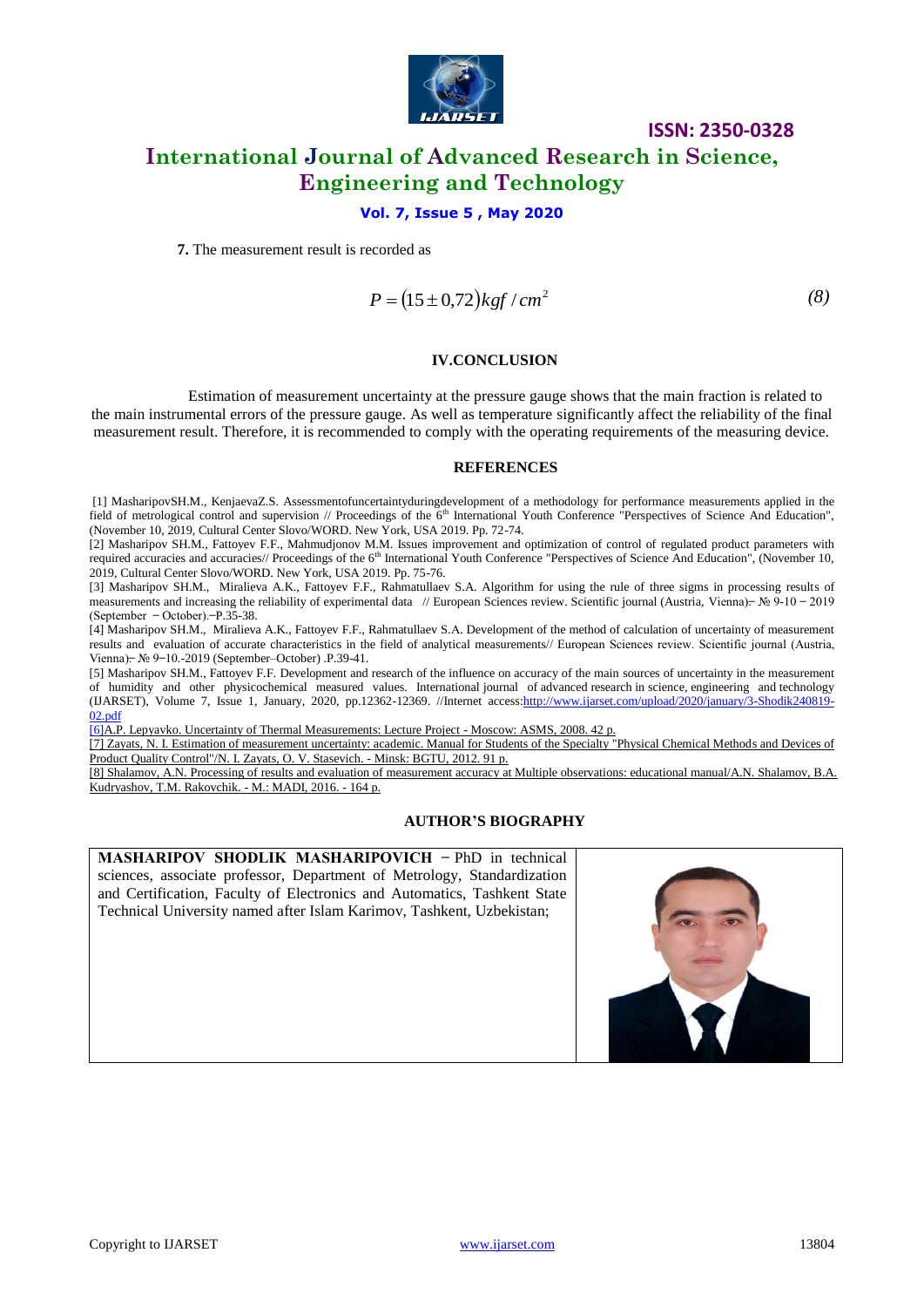

# **International Journal of Advanced Research in Science, Engineering and Technology**

### **Vol. 7, Issue 5 , May 2020**

**7.** The measurement result is recorded as

$$
P = (15 \pm 0.72)kgf/cm^2
$$
 (8)

**ISSN: 2350-0328**

#### **IV.CONCLUSION**

Estimation of measurement uncertainty at the pressure gauge shows that the main fraction is related to the main instrumental errors of the pressure gauge. As well as temperature significantly affect the reliability of the final measurement result. Therefore, it is recommended to comply with the operating requirements of the measuring device.

#### **REFERENCES**

[1] MasharipovSH.M., KenjaevaZ.S. Assessmentofuncertaintyduringdevelopment of a methodology for performance measurements applied in the field of metrological control and supervision // Proceedings of the  $6<sup>th</sup>$  International Youth Conference "Perspectives of Science And Education", (November 10, 2019, Cultural Center Slovo/WORD. New York, USA 2019. Pp. 72-74.

[2] Masharipov SH.M., Fattoyev F.F., Mahmudjonov M.M. Issues improvement and optimization of control of regulated product parameters with required accuracies and accuracies// Proceedings of the  $6<sup>th</sup>$  International Youth Conference "Perspectives of Science And Education", (November 10, 2019, Cultural Center Slovo/WORD. New York, USA 2019. Pp. 75-76.

[3] Masharipov SH.M., Miralieva A.K., Fattoyev F.F., Rahmatullaev S.A. Algorithm for using the rule of three sigms in processing results of measurements and increasing the reliability of experimental data // European Sciences review. Scientific journal (Austria, Vienna).  $\mathcal{N}_2$   $\mathcal{N}_1$  = 0 - 2019  $(e^{\theta})$  (September - October). -P.35-38.

[4] Masharipov SH.M., Miralieva A.K., Fattoyev F.F., Rahmatullaev S.А. Development of the method of calculation of uncertainty of measurement results and evaluation of accurate characteristics in the field of analytical measurements// European Sciences review. Scientific journal (Austria, Vienna).  $N_2$  9-10.-2019 (September–October) .P.39-41.

[5] Masharipov SH.M., Fattoyev F.F. Development and research of the influence on accuracy of the main sources of uncertainty in the measurement of humidity and other physicochemical measured values. International journal of advanced research in science, engineering and technology (IJARSET), Volume 7, Issue 1, January, 2020, pp.12362-12369. //Internet acces[s:http://www.ijarset.com/upload/2020/january/3-Shodik240819-](http://www.ijarset.com/upload/2020/january/3-Shodik240819-02.pdf) [02.pdf](http://www.ijarset.com/upload/2020/january/3-Shodik240819-02.pdf)

[6]A.P. Lepyavko. Uncertainty of Thermal Measurements: Lecture Project - Moscow: ASMS, 2008. 42 p.

[7] Zayats, N. I. Estimation of measurement uncertainty: academic. Manual for Students of the Specialty "Physical Chemical Methods and Devices of Product Quality Control"/N. I. Zayats, O. V. Stasevich. - Minsk: BGTU, 2012. 91 p.

[8] Shalamov, A.N. Processing of results and evaluation of measurement accuracy at Multiple observations: educational manual/A.N. Shalamov, B.A. Kudryashov, T.M. Rakovchik. - M.: MADI, 2016. - 164 p.

### **AUTHOR'S BIOGRAPHY**

**MASHARIPOV SHODLIK MASHARIPOVICH - PhD in technical** sciences, associate professor, Department of Metrology, Standardization and Certification, Faculty of Electronics and Automatics, Tashkent State Technical University named after Islam Karimov, Tashkent, Uzbekistan;